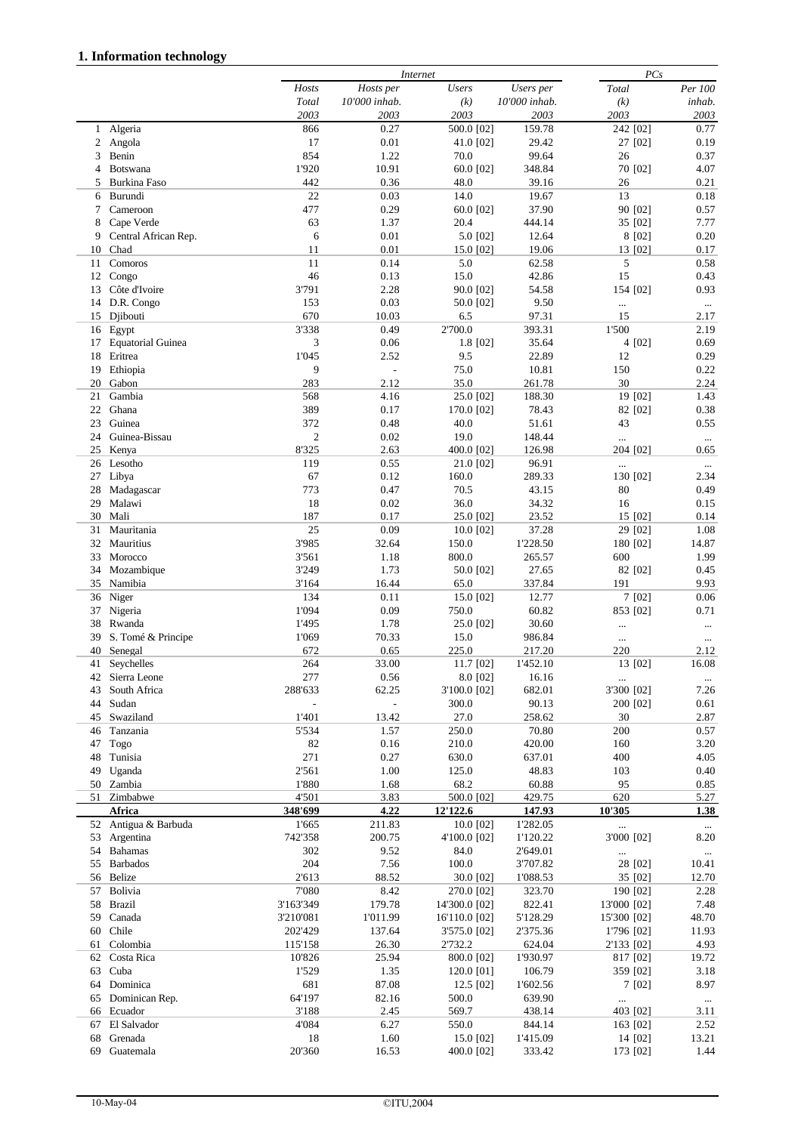## **1. Information technology**

|              |                          |                          | Internet      |               |               |             | PCs      |  |  |
|--------------|--------------------------|--------------------------|---------------|---------------|---------------|-------------|----------|--|--|
|              |                          | Hosts                    | Hosts per     | <b>Users</b>  | Users per     | Total       | Per 100  |  |  |
|              |                          | Total                    | 10'000 inhab. | (k)           | 10'000 inhab. | (k)         | inhab.   |  |  |
|              |                          | 2003                     | 2003          | 2003          | 2003          | 2003        | 2003     |  |  |
| $\mathbf{1}$ | Algeria                  | 866                      | 0.27          | 500.0 [02]    | 159.78        | 242 [02]    | 0.77     |  |  |
| 2            | Angola                   | 17                       | 0.01          | 41.0 [02]     | 29.42         | 27 [02]     | 0.19     |  |  |
|              |                          |                          |               |               |               |             |          |  |  |
| 3            | Benin                    | 854                      | 1.22          | 70.0          | 99.64         | 26          | 0.37     |  |  |
| 4            | <b>Botswana</b>          | 1'920                    | 10.91         | 60.0 [02]     | 348.84        | 70 [02]     | 4.07     |  |  |
| 5            | Burkina Faso             | 442                      | 0.36          | 48.0          | 39.16         | 26          | 0.21     |  |  |
| 6            | Burundi                  | 22                       | 0.03          | 14.0          | 19.67         | 13          | 0.18     |  |  |
| 7            | Cameroon                 | 477                      | 0.29          | 60.0 [02]     | 37.90         | 90 [02]     | 0.57     |  |  |
| 8            | Cape Verde               | 63                       | 1.37          | 20.4          | 444.14        | 35 [02]     | 7.77     |  |  |
| 9            | Central African Rep.     | 6                        | 0.01          | 5.0 [02]      | 12.64         | 8 [02]      | 0.20     |  |  |
| 10           | Chad                     | 11                       | 0.01          | 15.0 [02]     | 19.06         | 13 [02]     | 0.17     |  |  |
|              |                          |                          |               |               |               |             |          |  |  |
| 11           | Comoros                  | 11                       | 0.14          | 5.0           | 62.58         | 5           | 0.58     |  |  |
| 12           | Congo                    | 46                       | 0.13          | 15.0          | 42.86         | 15          | 0.43     |  |  |
| 13           | Côte d'Ivoire            | 3'791                    | 2.28          | 90.0 [02]     | 54.58         | 154 [02]    | 0.93     |  |  |
| 14           | D.R. Congo               | 153                      | 0.03          | 50.0 [02]     | 9.50          | $\cdots$    | $\ldots$ |  |  |
| 15           | Djibouti                 | 670                      | 10.03         | 6.5           | 97.31         | 15          | 2.17     |  |  |
| 16           | Egypt                    | 3'338                    | 0.49          | 2'700.0       | 393.31        | 1'500       | 2.19     |  |  |
| 17           | <b>Equatorial Guinea</b> | 3                        | 0.06          | 1.8 [02]      | 35.64         | 4 [02]      | 0.69     |  |  |
| 18           | Eritrea                  | 1'045                    | 2.52          | 9.5           | 22.89         | 12          | 0.29     |  |  |
|              |                          |                          |               |               |               |             |          |  |  |
| 19           | Ethiopia                 | 9                        | $\Box$        | 75.0          | 10.81         | 150         | 0.22     |  |  |
| 20           | Gabon                    | 283                      | 2.12          | 35.0          | 261.78        | 30          | 2.24     |  |  |
| 21           | Gambia                   | 568                      | 4.16          | 25.0 [02]     | 188.30        | 19 [02]     | 1.43     |  |  |
| 22           | Ghana                    | 389                      | 0.17          | 170.0 [02]    | 78.43         | 82 [02]     | 0.38     |  |  |
| 23           | Guinea                   | 372                      | 0.48          | 40.0          | 51.61         | 43          | 0.55     |  |  |
| 24           | Guinea-Bissau            | $\mathfrak{2}$           | 0.02          | 19.0          | 148.44        | $\cdots$    | $\cdots$ |  |  |
| 25           | Kenya                    | 8'325                    | 2.63          | 400.0 [02]    | 126.98        | 204 [02]    | 0.65     |  |  |
|              | Lesotho                  | 119                      | 0.55          |               | 96.91         |             |          |  |  |
| 26           |                          |                          |               | 21.0 [02]     |               | $\cdots$    | $\ldots$ |  |  |
| 27           | Libya                    | 67                       | 0.12          | 160.0         | 289.33        | 130 [02]    | 2.34     |  |  |
| 28           | Madagascar               | 773                      | 0.47          | 70.5          | 43.15         | 80          | 0.49     |  |  |
| 29           | Malawi                   | 18                       | 0.02          | 36.0          | 34.32         | 16          | 0.15     |  |  |
| 30           | Mali                     | 187                      | 0.17          | 25.0 [02]     | 23.52         | 15 [02]     | 0.14     |  |  |
| 31           | Mauritania               | 25                       | 0.09          | 10.0 [02]     | 37.28         | 29 [02]     | 1.08     |  |  |
| 32           | Mauritius                | 3'985                    | 32.64         | 150.0         | 1'228.50      | 180 [02]    | 14.87    |  |  |
| 33           | Morocco                  | 3'561                    | 1.18          | 800.0         | 265.57        | 600         | 1.99     |  |  |
|              |                          |                          |               |               |               |             |          |  |  |
| 34           | Mozambique               | 3'249                    | 1.73          | 50.0 [02]     | 27.65         | 82 [02]     | 0.45     |  |  |
| 35           | Namibia                  | 3'164                    | 16.44         | 65.0          | 337.84        | 191         | 9.93     |  |  |
| 36           | Niger                    | 134                      | 0.11          | 15.0 [02]     | 12.77         | 7 [02]      | 0.06     |  |  |
| 37           | Nigeria                  | 1'094                    | 0.09          | 750.0         | 60.82         | 853 [02]    | 0.71     |  |  |
| 38           | Rwanda                   | 1'495                    | 1.78          | 25.0 [02]     | 30.60         | $\cdots$    | $\cdots$ |  |  |
| 39           | S. Tomé & Principe       | 1'069                    | 70.33         | 15.0          | 986.84        | $\cdots$    | $\ldots$ |  |  |
| 40           | Senegal                  | 672                      | 0.65          | 225.0         | 217.20        | 220         | 2.12     |  |  |
| 41           | Seychelles               | 264                      | 33.00         | 11.7 [02]     | 1'452.10      | 13 [02]     | 16.08    |  |  |
|              |                          |                          |               |               |               |             |          |  |  |
|              | 42 Sierra Leone          | 277                      | 0.56          | 8.0 [02]      | 16.16         | $\cdots$    | $\cdots$ |  |  |
| 43           | South Africa             | 288'633                  | 62.25         | 3'100.0 [02]  | 682.01        | 3'300 [02]  | 7.26     |  |  |
| 44           | Sudan                    | $\overline{\phantom{a}}$ | $\Box$        | 300.0         | 90.13         | 200 [02]    | 0.61     |  |  |
| 45           | Swaziland                | 1'401                    | 13.42         | 27.0          | 258.62        | 30          | 2.87     |  |  |
| 46           | Tanzania                 | 5'534                    | 1.57          | 250.0         | 70.80         | 200         | 0.57     |  |  |
| 47           | Togo                     | 82                       | 0.16          | 210.0         | 420.00        | 160         | 3.20     |  |  |
| 48           | Tunisia                  | 271                      | 0.27          | 630.0         | 637.01        | 400         | 4.05     |  |  |
|              | 49 Uganda                | 2'561                    | 1.00          | 125.0         | 48.83         | 103         | 0.40     |  |  |
|              | 50 Zambia                | 1'880                    | 1.68          | 68.2          | 60.88         | 95          | 0.85     |  |  |
|              |                          |                          |               |               |               |             |          |  |  |
| 51           | Zimbabwe                 | 4'501                    | 3.83          | 500.0 [02]    | 429.75        | 620         | 5.27     |  |  |
|              | Africa                   | 348'699                  | 4.22          | 12'122.6      | 147.93        | 10'305      | 1.38     |  |  |
|              | 52 Antigua & Barbuda     | 1'665                    | 211.83        | $10.0$ [02]   | 1'282.05      | m.          | $\ldots$ |  |  |
|              | 53 Argentina             | 742'358                  | 200.75        | 4'100.0 [02]  | 1'120.22      | 3'000 [02]  | 8.20     |  |  |
|              | 54 Bahamas               | 302                      | 9.52          | 84.0          | 2'649.01      | $\ldots$    | $\ldots$ |  |  |
|              | 55 Barbados              | 204                      | 7.56          | 100.0         | 3'707.82      | 28 [02]     | 10.41    |  |  |
|              | 56 Belize                | 2'613                    | 88.52         | 30.0 [02]     | 1'088.53      | 35 [02]     | 12.70    |  |  |
|              |                          |                          |               |               |               |             |          |  |  |
|              | 57 Bolivia               | 7'080                    | 8.42          | 270.0 [02]    | 323.70        | 190 [02]    | 2.28     |  |  |
| 58           | Brazil                   | 3'163'349                | 179.78        | 14'300.0 [02] | 822.41        | 13'000 [02] | 7.48     |  |  |
|              | 59 Canada                | 3'210'081                | 1'011.99      | 16'110.0 [02] | 5'128.29      | 15'300 [02] | 48.70    |  |  |
|              | 60 Chile                 | 202'429                  | 137.64        | 3'575.0 [02]  | 2'375.36      | 1'796 [02]  | 11.93    |  |  |
| 61           | Colombia                 | 115'158                  | 26.30         | 2'732.2       | 624.04        | 2'133 [02]  | 4.93     |  |  |
|              | 62 Costa Rica            | 10'826                   | 25.94         | 800.0 [02]    | 1'930.97      | 817 [02]    | 19.72    |  |  |
| 63           | Cuba                     | 1'529                    | 1.35          | 120.0 [01]    | 106.79        | 359 [02]    | 3.18     |  |  |
| 64           | Dominica                 | 681                      | 87.08         | 12.5 [02]     | 1'602.56      | 7 [02]      | 8.97     |  |  |
|              |                          |                          |               |               |               |             |          |  |  |
|              | 65 Dominican Rep.        | 64'197                   | 82.16         | 500.0         | 639.90        | $\ldots$    | $\cdots$ |  |  |
|              | 66 Ecuador               | 3'188                    | 2.45          | 569.7         | 438.14        | 403 [02]    | 3.11     |  |  |
| 67           | El Salvador              | 4'084                    | 6.27          | 550.0         | 844.14        | 163 [02]    | 2.52     |  |  |
| 68           | Grenada                  | 18                       | 1.60          | 15.0 [02]     | 1'415.09      | 14 [02]     | 13.21    |  |  |
|              | 69 Guatemala             | 20'360                   | 16.53         | 400.0 [02]    | 333.42        | 173 [02]    | 1.44     |  |  |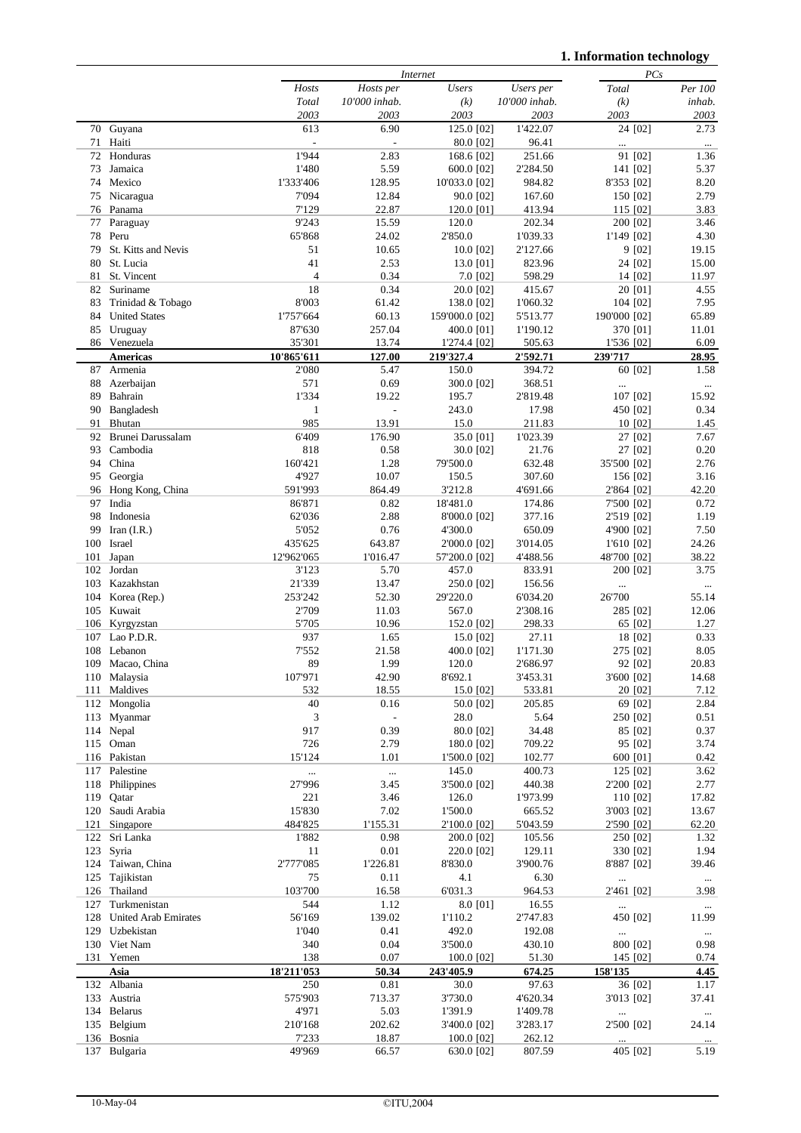**1. Information technology**

|          |                             |                | <b>Internet</b>          |                |                    |                      | PCs               |  |
|----------|-----------------------------|----------------|--------------------------|----------------|--------------------|----------------------|-------------------|--|
|          |                             | Hosts          | Hosts per                | <b>Users</b>   | Users per          | Total                | Per 100           |  |
|          |                             | Total          | 10'000 inhab.            | (k)            | 10'000 inhab.      | (k)                  | inhab.            |  |
|          |                             | 2003           | 2003                     | 2003           | 2003               | 2003                 | 2003              |  |
|          | 70 Guyana                   | 613            | 6.90                     | 125.0 [02]     | 1'422.07           | 24 [02]              | 2.73              |  |
| 71       | Haiti                       | $\frac{1}{2}$  | $\overline{\phantom{a}}$ | 80.0 [02]      | 96.41              | $\ddotsc$            | $\ldots$          |  |
| 72       | Honduras                    | 1'944          | 2.83                     | 168.6 [02]     | 251.66             | 91 [02]              | 1.36              |  |
| 73       | Jamaica                     | 1'480          | 5.59                     | 600.0 [02]     | 2'284.50           | 141 [02]             | 5.37              |  |
|          | 74 Mexico                   | 1'333'406      | 128.95                   | 10'033.0 [02]  | 984.82             | 8'353 [02]           | 8.20              |  |
| 75       | Nicaragua                   | 7'094          | 12.84                    | 90.0 [02]      | 167.60             | 150 [02]             | 2.79              |  |
| 76       | Panama                      | 7'129          | 22.87                    | 120.0 [01]     | 413.94             | 115 [02]             | 3.83              |  |
| 77       | Paraguay                    | 9'243          | 15.59                    | 120.0          | 202.34             | 200 [02]             | 3.46              |  |
| 78       | Peru                        | 65'868         | 24.02                    | 2'850.0        | 1'039.33           | 1'149 [02]           | 4.30              |  |
| 79       | St. Kitts and Nevis         | 51             | 10.65                    | 10.0 [02]      | 2'127.66           | 9 [02]               | 19.15             |  |
| 80       | St. Lucia                   | 41             | 2.53                     | 13.0 [01]      | 823.96             | 24 [02]              | 15.00             |  |
| 81       | St. Vincent                 | $\overline{4}$ | 0.34                     | 7.0 [02]       | 598.29             | 14 [02]              | 11.97             |  |
| 82       | Suriname                    | 18             | 0.34                     | 20.0 [02]      | 415.67             | 20 [01]              | 4.55              |  |
| 83       | Trinidad & Tobago           | 8'003          | 61.42                    | 138.0 [02]     | 1'060.32           | 104 [02]             | 7.95              |  |
| 84       | <b>United States</b>        | 1'757'664      | 60.13                    | 159'000.0 [02] | 5'513.77           | 190'000 [02]         | 65.89             |  |
| 85       | Uruguay                     | 87'630         | 257.04                   | 400.0 [01]     | 1'190.12           | 370 [01]             | 11.01             |  |
|          | 86 Venezuela                | 35'301         | 13.74                    | 1'274.4 [02]   | 505.63             | 1'536 [02]           | 6.09              |  |
|          | <b>Americas</b>             | 10'865'611     | 127.00                   | 219'327.4      | 2'592.71           | 239'717              | 28.95             |  |
| 87       | Armenia                     | 2'080          | 5.47                     | 150.0          | 394.72             | 60 [02]              | 1.58              |  |
| 88       | Azerbaijan                  | 571            | 0.69                     | 300.0 [02]     | 368.51             |                      |                   |  |
| 89       | Bahrain                     | 1'334          | 19.22                    | 195.7          | 2'819.48           | $\cdots$<br>107 [02] | $\ldots$<br>15.92 |  |
| 90       |                             | $\mathbf{1}$   | $\Box$                   | 243.0          | 17.98              | 450 [02]             | 0.34              |  |
|          | Bangladesh                  | 985            |                          |                |                    |                      |                   |  |
| 91<br>92 | Bhutan<br>Brunei Darussalam | 6'409          | 13.91<br>176.90          | 15.0           | 211.83<br>1'023.39 | 10 [02]              | 1.45<br>7.67      |  |
|          | Cambodia                    | 818            |                          | 35.0 [01]      |                    | 27 [02]              |                   |  |
| 93       |                             |                | 0.58                     | 30.0 [02]      | 21.76              | 27 [02]              | 0.20              |  |
| 94       | China                       | 160'421        | 1.28                     | 79'500.0       | 632.48             | 35'500 [02]          | 2.76              |  |
| 95       | Georgia                     | 4'927          | 10.07                    | 150.5          | 307.60             | 156 [02]             | 3.16              |  |
| 96       | Hong Kong, China            | 591'993        | 864.49                   | 3'212.8        | 4'691.66           | 2'864 [02]           | 42.20             |  |
| 97       | India                       | 86'871         | 0.82                     | 18'481.0       | 174.86             | 7'500 [02]           | 0.72              |  |
| 98       | Indonesia                   | 62'036         | 2.88                     | 8'000.0 [02]   | 377.16             | 2'519 [02]           | 1.19              |  |
| 99       | Iran $(I.R.)$               | 5'052          | 0.76                     | 4'300.0        | 650.09             | 4'900 [02]           | 7.50              |  |
| 100      | Israel                      | 435'625        | 643.87                   | 2'000.0 [02]   | 3'014.05           | 1'610 [02]           | 24.26             |  |
| 101      | Japan                       | 12'962'065     | 1'016.47                 | 57'200.0 [02]  | 4'488.56           | 48'700 [02]          | 38.22             |  |
| 102      | Jordan                      | 3'123          | 5.70                     | 457.0          | 833.91             | 200 [02]             | 3.75              |  |
| 103      | Kazakhstan                  | 21'339         | 13.47                    | 250.0 [02]     | 156.56             |                      | $\cdots$          |  |
| 104      | Korea (Rep.)                | 253'242        | 52.30                    | 29'220.0       | 6'034.20           | 26'700               | 55.14             |  |
|          | 105 Kuwait                  | 2'709          | 11.03                    | 567.0          | 2'308.16           | 285 [02]             | 12.06             |  |
| 106      | Kyrgyzstan                  | 5'705          | 10.96                    | 152.0 [02]     | 298.33             | 65 [02]              | 1.27              |  |
| 107      | Lao P.D.R.                  | 937            | 1.65                     | 15.0 [02]      | 27.11              | 18 [02]              | 0.33              |  |
| 108      | Lebanon                     | 7'552          | 21.58                    | 400.0 [02]     | 1'171.30           | 275 [02]             | 8.05              |  |
| 109      | Macao, China                | 89             | 1.99                     | 120.0          | 2'686.97           | 92 [02]              | 20.83             |  |
|          | 110 Malaysia                | 107'971        | 42.90                    | 8'692.1        | 3'453.31           | 3'600 [02]           | 14.68             |  |
| 111      | Maldives                    | 532            | 18.55                    | 15.0 [02]      | 533.81             | 20 [02]              | 7.12              |  |
| 112      | Mongolia                    | 40             | 0.16                     | 50.0 [02]      | 205.85             | 69 [02]              | 2.84              |  |
| 113      | Myanmar                     | 3              | $\mathbb{L}$             | 28.0           | 5.64               | 250 [02]             | 0.51              |  |
|          | 114 Nepal                   | 917            | 0.39                     | 80.0 [02]      | 34.48              | 85 [02]              | 0.37              |  |
|          | 115 Oman                    | 726            | 2.79                     | 180.0 [02]     | 709.22             | 95 [02]              | 3.74              |  |
|          | 116 Pakistan                | 15'124         | 1.01                     | 1'500.0 [02]   | 102.77             | 600 [01]             | 0.42              |  |
|          | 117 Palestine               |                | $\cdots$                 | 145.0          | 400.73             | 125 [02]             | 3.62              |  |
| 118      | Philippines                 | 27'996         | 3.45                     | 3'500.0 [02]   | 440.38             | 2'200 [02]           | 2.77              |  |
| 119      | Qatar                       | 221            | 3.46                     | 126.0          | 1'973.99           | 110 [02]             | 17.82             |  |
| 120      | Saudi Arabia                | 15'830         | 7.02                     | 1'500.0        | 665.52             | 3'003 [02]           | 13.67             |  |
| 121      | Singapore                   | 484'825        | 1'155.31                 | 2'100.0 [02]   | 5'043.59           | 2'590 [02]           | 62.20             |  |
| 122      | Sri Lanka                   | 1'882          | 0.98                     | 200.0 [02]     | 105.56             | 250 [02]             | 1.32              |  |
| 123      | Syria                       | 11             | 0.01                     | 220.0 [02]     | 129.11             | 330 [02]             | 1.94              |  |
| 124      | Taiwan, China               | 2'777'085      | 1'226.81                 | 8'830.0        | 3'900.76           | 8'887 [02]           | 39.46             |  |
| 125      | Tajikistan                  | 75             | 0.11                     | 4.1            | 6.30               | $\ddotsc$            | $\ldots$          |  |
|          | 126 Thailand                | 103'700        | 16.58                    | 6'031.3        | 964.53             | 2'461 [02]           | 3.98              |  |
| 127      | Turkmenistan                | 544            | 1.12                     | 8.0 [01]       | 16.55              | $\cdots$             | $\ldots$          |  |
| 128      | <b>United Arab Emirates</b> | 56'169         | 139.02                   | 1'110.2        | 2'747.83           | 450 [02]             | 11.99             |  |
|          | 129 Uzbekistan              | 1'040          | 0.41                     | 492.0          | 192.08             | $\ldots$             | $\cdots$          |  |
|          | 130 Viet Nam                | 340            | 0.04                     | 3'500.0        | 430.10             | 800 [02]             | 0.98              |  |
| 131      | Yemen                       | 138            | 0.07                     | 100.0 [02]     | 51.30              | 145 [02]             | 0.74              |  |
|          | Asia                        | 18'211'053     | 50.34                    | 243'405.9      | 674.25             | 158'135              | 4.45              |  |
|          | 132 Albania                 | 250            | 0.81                     | 30.0           | 97.63              | 36 [02]              | 1.17              |  |
|          | 133 Austria                 | 575'903        | 713.37                   | 3'730.0        | 4'620.34           | 3'013 [02]           | 37.41             |  |
| 134      | <b>Belarus</b>              | 4'971          | 5.03                     | 1'391.9        | 1'409.78           |                      | $\ldots$          |  |
| 135      | Belgium                     | 210'168        | 202.62                   | 3'400.0 [02]   | 3'283.17           | 2'500 [02]           | 24.14             |  |
| 136      | Bosnia                      | 7'233          | 18.87                    | 100.0 [02]     | 262.12             | $\cdots$             | $\cdots$          |  |
|          | 137 Bulgaria                | 49'969         | 66.57                    | 630.0 [02]     | 807.59             | 405 [02]             | 5.19              |  |